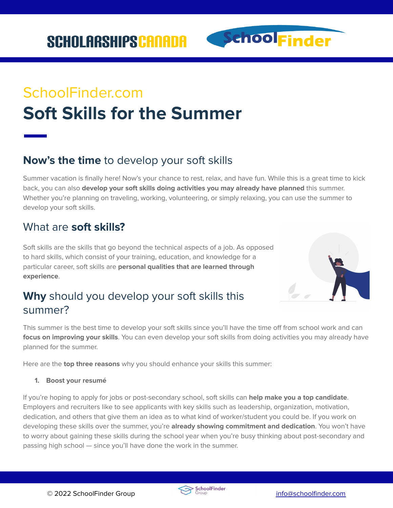SchoolFinder

# SchoolFinder.com **Soft Skills for the Summer**

# **Now's the time** to develop your soft skills

Summer vacation is finally here! Now's your chance to rest, relax, and have fun. While this is a great time to kick back, you can also **develop your soft skills doing activities you may already have planned** this summer. Whether you're planning on traveling, working, volunteering, or simply relaxing, you can use the summer to develop your soft skills.

# What are **soft skills?**

Soft skills are the skills that go beyond the technical aspects of a job. As opposed to hard skills, which consist of your training, education, and knowledge for a particular career, soft skills are **personal qualities that are learned through experience**.



# **Why** should you develop your soft skills this summer?

This summer is the best time to develop your soft skills since you'll have the time off from school work and can **focus on improving your skills**. You can even develop your soft skills from doing activities you may already have planned for the summer.

Here are the **top three reasons** why you should enhance your skills this summer:

#### **1. Boost your resumé**

If you're hoping to apply for jobs or post-secondary school, soft skills can **help make you a top candidate**. Employers and recruiters like to see applicants with key skills such as leadership, organization, motivation, dedication, and others that give them an idea as to what kind of worker/student you could be. If you work on developing these skills over the summer, you're **already showing commitment and dedication**. You won't have to worry about gaining these skills during the school year when you're busy thinking about post-secondary and passing high school — since you'll have done the work in the summer.

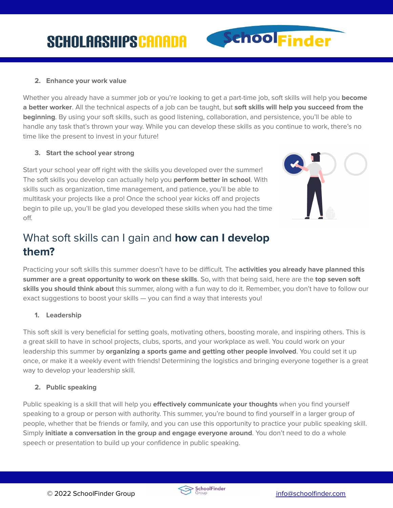

Whether you already have a summer job or you're looking to get a part-time job, soft skills will help you **become a better worker**. All the technical aspects of a job can be taught, but **soft skills will help you succeed from the beginning**. By using your soft skills, such as good listening, collaboration, and persistence, you'll be able to handle any task that's thrown your way. While you can develop these skills as you continue to work, there's no time like the present to invest in your future!

#### **3. Start the school year strong**

Start your school year off right with the skills you developed over the summer! The soft skills you develop can actually help you **perform better in school**. With skills such as organization, time management, and patience, you'll be able to multitask your projects like a pro! Once the school year kicks off and projects begin to pile up, you'll be glad you developed these skills when you had the time off.



SchoolFinder

## What soft skills can I gain and **how can I develop them?**

Practicing your soft skills this summer doesn't have to be difficult. The **activities you already have planned this summer are a great opportunity to work on these skills**. So, with that being said, here are the **top seven soft skills you should think about** this summer, along with a fun way to do it. Remember, you don't have to follow our exact suggestions to boost your skills — you can find a way that interests you!

#### **1. Leadership**

This soft skill is very beneficial for setting goals, motivating others, boosting morale, and inspiring others. This is a great skill to have in school projects, clubs, sports, and your workplace as well. You could work on your leadership this summer by **organizing a sports game and getting other people involved**. You could set it up once, or make it a weekly event with friends! Determining the logistics and bringing everyone together is a great way to develop your leadership skill.

#### **2. Public speaking**

Public speaking is a skill that will help you **effectively communicate your thoughts** when you find yourself speaking to a group or person with authority. This summer, you're bound to find yourself in a larger group of people, whether that be friends or family, and you can use this opportunity to practice your public speaking skill. Simply **initiate a conversation in the group and engage everyone around**. You don't need to do a whole speech or presentation to build up your confidence in public speaking.